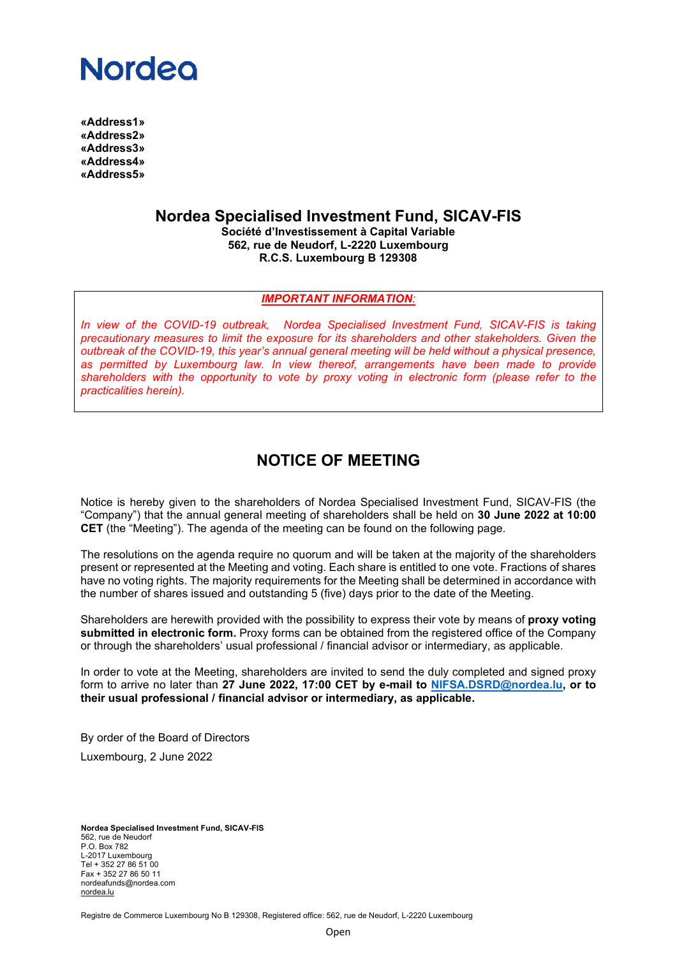## **Nordeo**

**«Address1» «Address2» «Address3» «Address4» «Address5»**

**Nordea Specialised Investment Fund, SICAV-FIS**

**Société d'Investissement à Capital Variable 562, rue de Neudorf, L-2220 Luxembourg R.C.S. Luxembourg B 129308**

#### *IMPORTANT INFORMATION:*

*In view of the COVID-19 outbreak, Nordea Specialised Investment Fund, SICAV-FIS is taking precautionary measures to limit the exposure for its shareholders and other stakeholders. Given the outbreak of the COVID-19, this year's annual general meeting will be held without a physical presence, as permitted by Luxembourg law. In view thereof, arrangements have been made to provide shareholders with the opportunity to vote by proxy voting in electronic form (please refer to the practicalities herein).*

### **NOTICE OF MEETING**

Notice is hereby given to the shareholders of Nordea Specialised Investment Fund, SICAV-FIS (the "Company") that the annual general meeting of shareholders shall be held on **30 June 2022 at 10:00 CET** (the "Meeting"). The agenda of the meeting can be found on the following page.

The resolutions on the agenda require no quorum and will be taken at the majority of the shareholders present or represented at the Meeting and voting. Each share is entitled to one vote. Fractions of shares have no voting rights. The majority requirements for the Meeting shall be determined in accordance with the number of shares issued and outstanding 5 (five) days prior to the date of the Meeting.

Shareholders are herewith provided with the possibility to express their vote by means of **proxy voting submitted in electronic form.** Proxy forms can be obtained from the registered office of the Company or through the shareholders' usual professional / financial advisor or intermediary, as applicable.

In order to vote at the Meeting, shareholders are invited to send the duly completed and signed proxy form to arrive no later than **27 June 2022, 17:00 CET by e-mail to [NIFSA.DSRD@nordea.lu,](mailto:NIFSA.DSRD@nordea.lu) or to their usual professional / financial advisor or intermediary, as applicable.**

By order of the Board of Directors Luxembourg, 2 June 2022

**Nordea Specialised Investment Fund, SICAV-FIS** 562, rue de Neudorf P.O. Box 782 L-2017 Luxembourg Tel + 352 27 86 51 00 Fax + 352 27 86 50 11 nordeafunds@nordea.com [nordea.lu](http://www.nordea.lu/)

Registre de Commerce Luxembourg No B 129308, Registered office: 562, rue de Neudorf, L-2220 Luxembourg